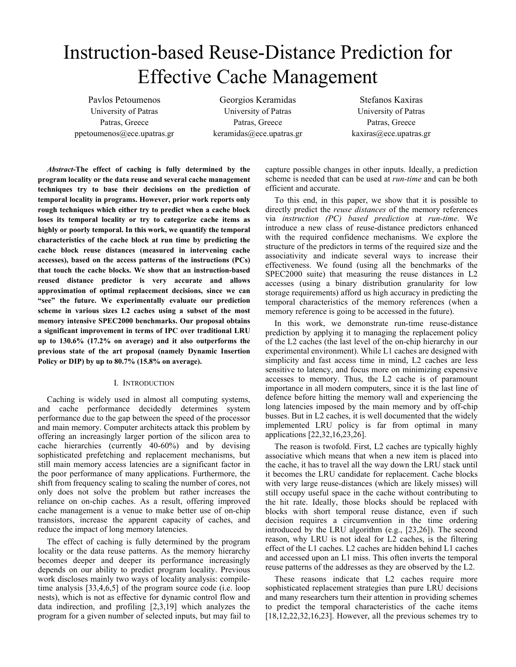# Instruction-based Reuse-Distance Prediction for Effective Cache Management

ppetoumenos@ece.upatras.gr keramidas@ece.upatras.gr kaxiras@ece.upatras.gr

Pavlos Petoumenos Georgios Keramidas Stefanos Kaxiras University of Patras University of Patras University of Patras Patras, Greece Patras, Greece Patras, Greece Patras, Greece Patras, Greece Patras, Greece Patras, Greece Patras, Greece Patras, Greece Patras, Greece Patras, Greece Patras, Greece Patras, Greece Patras, Greece Patras, Gree

*Abstract-***The effect of caching is fully determined by the program locality or the data reuse and several cache management techniques try to base their decisions on the prediction of temporal locality in programs. However, prior work reports only rough techniques which either try to predict when a cache block loses its temporal locality or try to categorize cache items as highly or poorly temporal. In this work, we quantify the temporal characteristics of the cache block at run time by predicting the cache block reuse distances (measured in intervening cache accesses), based on the access patterns of the instructions (PCs) that touch the cache blocks. We show that an instruction-based reused distance predictor is very accurate and allows approximation of optimal replacement decisions, since we can "see" the future. We experimentally evaluate our prediction scheme in various sizes L2 caches using a subset of the most memory intensive SPEC2000 benchmarks. Our proposal obtains a significant improvement in terms of IPC over traditional LRU up to 130.6% (17.2% on average) and it also outperforms the previous state of the art proposal (namely Dynamic Insertion Policy or DIP) by up to 80.7% (15.8% on average).**

#### I. INTRODUCTION

Caching is widely used in almost all computing systems, and cache performance decidedly determines system performance due to the gap between the speed of the processor and main memory. Computer architects attack this problem by offering an increasingly larger portion of the silicon area to cache hierarchies (currently 40-60%) and by devising sophisticated prefetching and replacement mechanisms, but still main memory access latencies are a significant factor in the poor performance of many applications. Furthermore, the shift from frequency scaling to scaling the number of cores, not only does not solve the problem but rather increases the reliance on on-chip caches. As a result, offering improved cache management is a venue to make better use of on-chip transistors, increase the apparent capacity of caches, and reduce the impact of long memory latencies.

The effect of caching is fully determined by the program locality or the data reuse patterns. As the memory hierarchy becomes deeper and deeper its performance increasingly depends on our ability to predict program locality. Previous work discloses mainly two ways of locality analysis: compiletime analysis [33,4,6,5] of the program source code (i.e. loop nests), which is not as effective for dynamic control flow and data indirection, and profiling [2,3,19] which analyzes the program for a given number of selected inputs, but may fail to

capture possible changes in other inputs. Ideally, a prediction scheme is needed that can be used at *run-time* and can be both efficient and accurate.

To this end, in this paper, we show that it is possible to directly predict the *reuse distances* of the memory references via *instruction (PC) based prediction* at *run-time*. We introduce a new class of reuse-distance predictors enhanced with the required confidence mechanisms. We explore the structure of the predictors in terms of the required size and the associativity and indicate several ways to increase their effectiveness. We found (using all the benchmarks of the SPEC2000 suite) that measuring the reuse distances in L2 accesses (using a binary distribution granularity for low storage requirements) afford us high accuracy in predicting the temporal characteristics of the memory references (when a memory reference is going to be accessed in the future).

In this work, we demonstrate run-time reuse-distance prediction by applying it to managing the replacement policy of the L2 caches (the last level of the on-chip hierarchy in our experimental environment). While L1 caches are designed with simplicity and fast access time in mind, L2 caches are less sensitive to latency, and focus more on minimizing expensive accesses to memory. Thus, the L2 cache is of paramount importance in all modern computers, since it is the last line of defence before hitting the memory wall and experiencing the long latencies imposed by the main memory and by off-chip busses. But in L2 caches, it is well documented that the widely implemented LRU policy is far from optimal in many applications [22,32,16,23,26].

The reason is twofold. First, L2 caches are typically highly associative which means that when a new item is placed into the cache, it has to travel all the way down the LRU stack until it becomes the LRU candidate for replacement. Cache blocks with very large reuse-distances (which are likely misses) will still occupy useful space in the cache without contributing to the hit rate. Ideally, those blocks should be replaced with blocks with short temporal reuse distance, even if such decision requires a circumvention in the time ordering introduced by the LRU algorithm (e.g., [23,26]). The second reason, why LRU is not ideal for L2 caches, is the filtering effect of the L1 caches. L2 caches are hidden behind L1 caches and accessed upon an L1 miss. This often inverts the temporal reuse patterns of the addresses as they are observed by the L2.

These reasons indicate that L2 caches require more sophisticated replacement strategies than pure LRU decisions and many researchers turn their attention in providing schemes to predict the temporal characteristics of the cache items [18,12,22,32,16,23]. However, all the previous schemes try to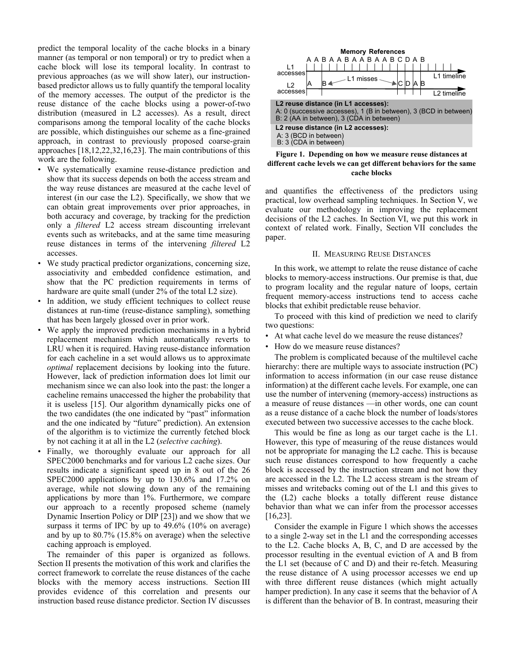predict the temporal locality of the cache blocks in a binary manner (as temporal or non temporal) or try to predict when a cache block will lose its temporal locality. In contrast to previous approaches (as we will show later), our instructionbased predictor allows us to fully quantify the temporal locality of the memory accesses. The output of the predictor is the reuse distance of the cache blocks using a power-of-two distribution (measured in L2 accesses). As a result, direct comparisons among the temporal locality of the cache blocks are possible, which distinguishes our scheme as a fine-grained approach, in contrast to previously proposed coarse-grain approaches [18,12,22,32,16,23]. The main contributions of this work are the following.

- We systematically examine reuse-distance prediction and show that its success depends on both the access stream and the way reuse distances are measured at the cache level of interest (in our case the L2). Specifically, we show that we can obtain great improvements over prior approaches, in both accuracy and coverage, by tracking for the prediction only a *filtered* L2 access stream discounting irrelevant events such as writebacks, and at the same time measuring reuse distances in terms of the intervening *filtered* L2 accesses.
- We study practical predictor organizations, concerning size, associativity and embedded confidence estimation, and show that the PC prediction requirements in terms of hardware are quite small (under 2% of the total L2 size).
- In addition, we study efficient techniques to collect reuse distances at run-time (reuse-distance sampling), something that has been largely glossed over in prior work.
- We apply the improved prediction mechanisms in a hybrid replacement mechanism which automatically reverts to LRU when it is required. Having reuse-distance information for each cacheline in a set would allows us to approximate *optimal* replacement decisions by looking into the future. However, lack of prediction information does lot limit our mechanism since we can also look into the past: the longer a cacheline remains unaccessed the higher the probability that it is useless [15]. Our algorithm dynamically picks one of the two candidates (the one indicated by "past" information and the one indicated by "future" prediction). An extension of the algorithm is to victimize the currently fetched block by not caching it at all in the L2 (*selective caching*).
- Finally, we thoroughly evaluate our approach for all SPEC2000 benchmarks and for various L2 cache sizes. Our results indicate a significant speed up in 8 out of the 26 SPEC2000 applications by up to 130.6% and 17.2% on average, while not slowing down any of the remaining applications by more than 1%. Furthermore, we compare our approach to a recently proposed scheme (namely Dynamic Insertion Policy or DIP [23]) and we show that we surpass it terms of IPC by up to 49.6% (10% on average) and by up to 80.7% (15.8% on average) when the selective caching approach is employed.

The remainder of this paper is organized as follows. Section II presents the motivation of this work and clarifies the correct framework to correlate the reuse distances of the cache blocks with the memory access instructions. Section III provides evidence of this correlation and presents our instruction based reuse distance predictor. Section IV discusses



# **Figure 1. Depending on how we measure reuse distances at different cache levels we can get different behaviors for the same cache blocks**

and quantifies the effectiveness of the predictors using practical, low overhead sampling techniques. In Section V, we evaluate our methodology in improving the replacement decisions of the L2 caches. In Section VI, we put this work in context of related work. Finally, Section VII concludes the paper.

# II. MEASURING REUSE DISTANCES

In this work, we attempt to relate the reuse distance of cache blocks to memory-access instructions. Our premise is that, due to program locality and the regular nature of loops, certain frequent memory-access instructions tend to access cache blocks that exhibit predictable reuse behavior.

To proceed with this kind of prediction we need to clarify two questions:

- At what cache level do we measure the reuse distances?
- How do we measure reuse distances?

The problem is complicated because of the multilevel cache hierarchy: there are multiple ways to associate instruction (PC) information to access information (in our case reuse distance information) at the different cache levels. For example, one can use the number of intervening (memory-access) instructions as a measure of reuse distances —in other words, one can count as a reuse distance of a cache block the number of loads/stores executed between two successive accesses to the cache block.

This would be fine as long as our target cache is the L1. However, this type of measuring of the reuse distances would not be appropriate for managing the L2 cache. This is because such reuse distances correspond to how frequently a cache block is accessed by the instruction stream and not how they are accessed in the L2. The L2 access stream is the stream of misses and writebacks coming out of the L1 and this gives to the (L2) cache blocks a totally different reuse distance behavior than what we can infer from the processor accesses [16,23].

Consider the example in Figure 1 which shows the accesses to a single 2-way set in the L1 and the corresponding accesses to the L2. Cache blocks A, B, C, and D are accessed by the processor resulting in the eventual eviction of A and B from the L1 set (because of C and D) and their re-fetch. Measuring the reuse distance of A using processor accesses we end up with three different reuse distances (which might actually hamper prediction). In any case it seems that the behavior of A is different than the behavior of B. In contrast, measuring their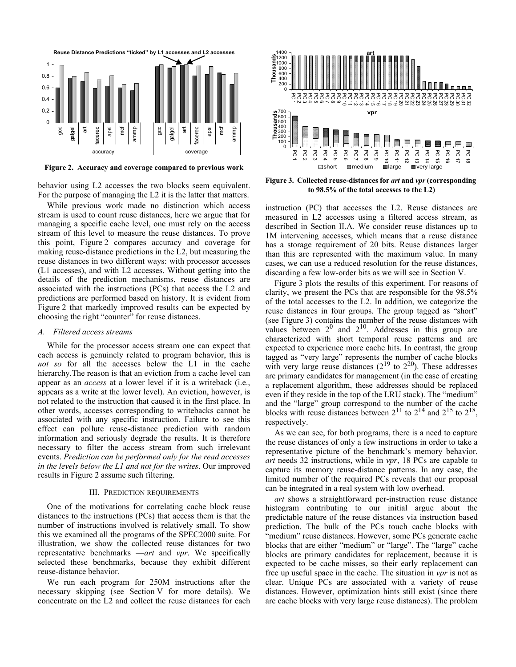

**Figure 2. Accuracy and coverage compared to previous work**

behavior using L2 accesses the two blocks seem equivalent. For the purpose of managing the L2 it is the latter that matters.

While previous work made no distinction which access stream is used to count reuse distances, here we argue that for managing a specific cache level, one must rely on the access stream of this level to measure the reuse distances. To prove this point, Figure 2 compares accuracy and coverage for making reuse-distance predictions in the L2, but measuring the reuse distances in two different ways: with processor accesses (L1 accesses), and with L2 accesses. Without getting into the details of the prediction mechanisms, reuse distances are associated with the instructions (PCs) that access the L2 and predictions are performed based on history. It is evident from Figure 2 that markedly improved results can be expected by choosing the right "counter" for reuse distances.

#### *A. Filtered access streams*

While for the processor access stream one can expect that each access is genuinely related to program behavior, this is *not so* for all the accesses below the L1 in the cache hierarchy.The reason is that an eviction from a cache level can appear as an *access* at a lower level if it is a writeback (i.e., appears as a write at the lower level). An eviction, however, is not related to the instruction that caused it in the first place. In other words, accesses corresponding to writebacks cannot be associated with any specific instruction. Failure to see this effect can pollute reuse-distance prediction with random information and seriously degrade the results. It is therefore necessary to filter the access stream from such irrelevant events. *Prediction can be performed only for the read accesses in the levels below the L1 and not for the writes*. Our improved results in Figure 2 assume such filtering.

#### III. PREDICTION REQUIREMENTS

One of the motivations for correlating cache block reuse distances to the instructions (PCs) that access them is that the number of instructions involved is relatively small. To show this we examined all the programs of the SPEC2000 suite. For illustration, we show the collected reuse distances for two representative benchmarks —*art* and *vpr*. We specifically selected these benchmarks, because they exhibit different reuse-distance behavior.

We run each program for 250M instructions after the necessary skipping (see Section V for more details). We concentrate on the L2 and collect the reuse distances for each



**Figure 3. Collected reuse-distances for** *art* **and** *vpr* **(corresponding to 98.5% of the total accesses to the L2)**

instruction (PC) that accesses the L2. Reuse distances are measured in L2 accesses using a filtered access stream, as described in Section II.A. We consider reuse distances up to 1M intervening accesses, which means that a reuse distance has a storage requirement of 20 bits. Reuse distances larger than this are represented with the maximum value. In many cases, we can use a reduced resolution for the reuse distances, discarding a few low-order bits as we will see in Section V.

Figure 3 plots the results of this experiment. For reasons of clarity, we present the PCs that are responsible for the 98.5% of the total accesses to the L2. In addition, we categorize the reuse distances in four groups. The group tagged as "short" (see Figure 3) contains the number of the reuse distances with values between  $2^0$  and  $2^{10}$ . Addresses in this group are characterized with short temporal reuse patterns and are expected to experience more cache hits. In contrast, the group tagged as "very large" represents the number of cache blocks with very large reuse distances  $(2^{19}$  to  $2^{20})$ . These addresses are primary candidates for management (in the case of creating a replacement algorithm, these addresses should be replaced even if they reside in the top of the LRU stack). The "medium" and the "large" group correspond to the number of the cache blocks with reuse distances between  $2^{11}$  to  $2^{14}$  and  $2^{15}$  to  $2^{18}$ . respectively.

As we can see, for both programs, there is a need to capture the reuse distances of only a few instructions in order to take a representative picture of the benchmark's memory behavior. *art* needs 32 instructions, while in *vpr*, 18 PCs are capable to capture its memory reuse-distance patterns. In any case, the limited number of the required PCs reveals that our proposal can be integrated in a real system with low overhead.

*art* shows a straightforward per-instruction reuse distance histogram contributing to our initial argue about the predictable nature of the reuse distances via instruction based prediction. The bulk of the PCs touch cache blocks with "medium" reuse distances. However, some PCs generate cache blocks that are either "medium" or "large". The "large" cache blocks are primary candidates for replacement, because it is expected to be cache misses, so their early replacement can free up useful space in the cache. The situation in *vpr* is not as clear. Unique PCs are associated with a variety of reuse distances. However, optimization hints still exist (since there are cache blocks with very large reuse distances). The problem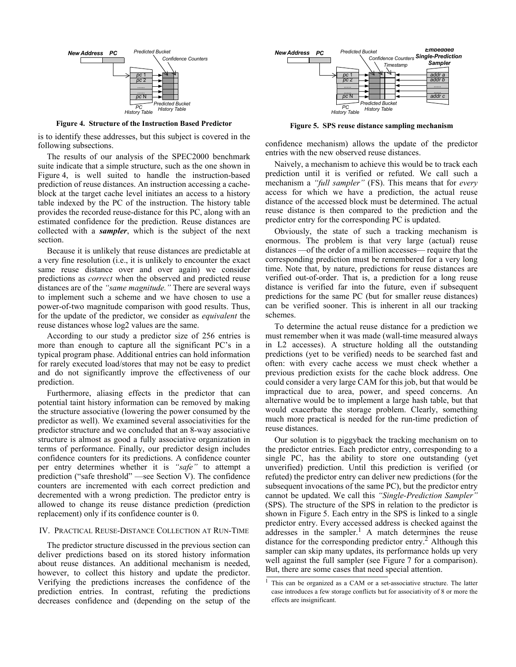



is to identify these addresses, but this subject is covered in the following subsections.

The results of our analysis of the SPEC2000 benchmark suite indicate that a simple structure, such as the one shown in Figure 4, is well suited to handle the instruction-based prediction of reuse distances. An instruction accessing a cacheblock at the target cache level initiates an access to a history table indexed by the PC of the instruction. The history table provides the recorded reuse-distance for this PC, along with an estimated confidence for the prediction. Reuse distances are collected with a *sampler*, which is the subject of the next section.

Because it is unlikely that reuse distances are predictable at a very fine resolution (i.e., it is unlikely to encounter the exact same reuse distance over and over again) we consider predictions as *correct* when the observed and predicted reuse distances are of the *"same magnitude."* There are several ways to implement such a scheme and we have chosen to use a power-of-two magnitude comparison with good results. Thus, for the update of the predictor, we consider as *equivalent* the reuse distances whose log2 values are the same.

According to our study a predictor size of 256 entries is more than enough to capture all the significant PC's in a typical program phase. Additional entries can hold information for rarely executed load/stores that may not be easy to predict and do not significantly improve the effectiveness of our prediction.

Furthermore, aliasing effects in the predictor that can potential taint history information can be removed by making the structure associative (lowering the power consumed by the predictor as well). We examined several associativities for the predictor structure and we concluded that an 8-way associative structure is almost as good a fully associative organization in terms of performance. Finally, our predictor design includes confidence counters for its predictions. A confidence counter per entry determines whether it is *"safe"* to attempt a prediction ("safe threshold" —see Section V). The confidence counters are incremented with each correct prediction and decremented with a wrong prediction. The predictor entry is allowed to change its reuse distance prediction (prediction replacement) only if its confidence counter is 0.

#### IV. PRACTICAL REUSE-DISTANCE COLLECTION AT RUN-TIME

The predictor structure discussed in the previous section can deliver predictions based on its stored history information about reuse distances. An additional mechanism is needed, however, to collect this history and update the predictor. Verifying the predictions increases the confidence of the prediction entries. In contrast, refuting the predictions decreases confidence and (depending on the setup of the



**Figure 5. SPS reuse distance sampling mechanism**

confidence mechanism) allows the update of the predictor entries with the new observed reuse distances.

Naively, a mechanism to achieve this would be to track each prediction until it is verified or refuted. We call such a mechanism a *"full sampler"* (FS). This means that for *every* access for which we have a prediction, the actual reuse distance of the accessed block must be determined. The actual reuse distance is then compared to the prediction and the predictor entry for the corresponding PC is updated.

Obviously, the state of such a tracking mechanism is enormous. The problem is that very large (actual) reuse distances —of the order of a million accesses— require that the corresponding prediction must be remembered for a very long time. Note that, by nature, predictions for reuse distances are verified out-of-order. That is, a prediction for a long reuse distance is verified far into the future, even if subsequent predictions for the same PC (but for smaller reuse distances) can be verified sooner. This is inherent in all our tracking schemes.

To determine the actual reuse distance for a prediction we must remember when it was made (wall-time measured always in L2 accesses). A structure holding all the outstanding predictions (yet to be verified) needs to be searched fast and often: with every cache access we must check whether a previous prediction exists for the cache block address. One could consider a very large CAM for this job, but that would be impractical due to area, power, and speed concerns. An alternative would be to implement a large hash table, but that would exacerbate the storage problem. Clearly, something much more practical is needed for the run-time prediction of reuse distances.

Our solution is to piggyback the tracking mechanism on to the predictor entries. Each predictor entry, corresponding to a single PC, has the ability to store one outstanding (yet unverified) prediction. Until this prediction is verified (or refuted) the predictor entry can deliver new predictions (for the subsequent invocations of the same PC), but the predictor entry cannot be updated. We call this *"Single-Prediction Sampler"* (SPS). The structure of the SPS in relation to the predictor is shown in Figure 5. Each entry in the SPS is linked to a single predictor entry. Every accessed address is checked against the addresses in the sampler.<sup>1</sup> A match determines the reuse distance for the corresponding predictor entry.<sup>2</sup> Although this sampler can skip many updates, its performance holds up very well against the full sampler (see Figure 7 for a comparison). But, there are some cases that need special attention.

 $1$  This can be organized as a CAM or a set-associative structure. The latter case introduces a few storage conflicts but for associativity of 8 or more the effects are insignificant.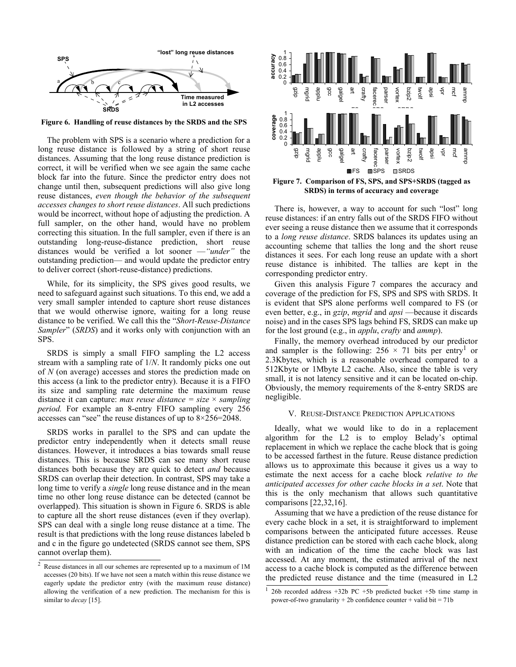

**Figure 6. Handling of reuse distances by the SRDS and the SPS**

The problem with SPS is a scenario where a prediction for a long reuse distance is followed by a string of short reuse distances. Assuming that the long reuse distance prediction is correct, it will be verified when we see again the same cache block far into the future. Since the predictor entry does not change until then, subsequent predictions will also give long reuse distances, *even though the behavior of the subsequent accesses changes to short reuse distances*. All such predictions would be incorrect, without hope of adjusting the prediction. A full sampler, on the other hand, would have no problem correcting this situation. In the full sampler, even if there is an outstanding long-reuse-distance prediction, short reuse distances would be verified a lot sooner —*"under"* the outstanding prediction— and would update the predictor entry to deliver correct (short-reuse-distance) predictions.

While, for its simplicity, the SPS gives good results, we need to safeguard against such situations. To this end, we add a very small sampler intended to capture short reuse distances that we would otherwise ignore, waiting for a long reuse distance to be verified. We call this the "*Short-Reuse-Distance Sampler*" (*SRDS*) and it works only with conjunction with an SPS.

SRDS is simply a small FIFO sampling the L2 access stream with a sampling rate of 1/*N*. It randomly picks one out of *N* (on average) accesses and stores the prediction made on this access (a link to the predictor entry). Because it is a FIFO its size and sampling rate determine the maximum reuse distance it can capture: *max reuse distance = size* × *sampling period.* For example an 8-entry FIFO sampling every 256 accesses can "see" the reuse distances of up to 8×256=2048.

SRDS works in parallel to the SPS and can update the predictor entry independently when it detects small reuse distances. However, it introduces a bias towards small reuse distances. This is because SRDS can see many short reuse distances both because they are quick to detect *and* because SRDS can overlap their detection. In contrast, SPS may take a long time to verify a *single* long reuse distance and in the mean time no other long reuse distance can be detected (cannot be overlapped). This situation is shown in Figure 6. SRDS is able to capture all the short reuse distances (even if they overlap). SPS can deal with a single long reuse distance at a time. The result is that predictions with the long reuse distances labeled b and c in the figure go undetected (SRDS cannot see them, SPS cannot overlap them).



**Figure 7. Comparison of FS, SPS, and SPS+SRDS (tagged as SRDS) in terms of accuracy and coverage**

There is, however, a way to account for such "lost" long reuse distances: if an entry falls out of the SRDS FIFO without ever seeing a reuse distance then we assume that it corresponds to a *long reuse distance*. SRDS balances its updates using an accounting scheme that tallies the long and the short reuse distances it sees. For each long reuse an update with a short reuse distance is inhibited. The tallies are kept in the corresponding predictor entry.

Given this analysis Figure 7 compares the accuracy and coverage of the prediction for FS, SPS and SPS with SRDS. It is evident that SPS alone performs well compared to FS (or even better, e.g., in *gzip*, *mgrid* and *apsi* —because it discards noise) and in the cases SPS lags behind FS, SRDS can make up for the lost ground (e.g., in *applu*, *crafty* and *ammp*).

Finally, the memory overhead introduced by our predictor and sampler is the following:  $256 \times 71$  bits per entry<sup>1</sup> or 2.3Kbytes, which is a reasonable overhead compared to a 512Kbyte or 1Mbyte L2 cache. Also, since the table is very small, it is not latency sensitive and it can be located on-chip. Obviously, the memory requirements of the 8-entry SRDS are negligible.

#### V. REUSE-DISTANCE PREDICTION APPLICATIONS

Ideally, what we would like to do in a replacement algorithm for the L2 is to employ Belady's optimal replacement in which we replace the cache block that is going to be accessed farthest in the future. Reuse distance prediction allows us to approximate this because it gives us a way to estimate the next access for a cache block *relative to the anticipated accesses for other cache blocks in a set*. Note that this is the only mechanism that allows such quantitative comparisons [22,32,16].

Assuming that we have a prediction of the reuse distance for every cache block in a set, it is straightforward to implement comparisons between the anticipated future accesses. Reuse distance prediction can be stored with each cache block, along with an indication of the time the cache block was last accessed. At any moment, the estimated arrival of the next access to a cache block is computed as the difference between the predicted reuse distance and the time (measured in L2

 $2$  Reuse distances in all our schemes are represented up to a maximum of 1M accesses (20 bits). If we have not seen a match within this reuse distance we eagerly update the predictor entry (with the maximum reuse distance) allowing the verification of a new prediction. The mechanism for this is similar to *decay* [15].

<sup>1</sup> 26b recorded address +32b PC +5b predicted bucket +5b time stamp in power-of-two granularity  $+ 2b$  confidence counter  $+$  valid bit  $= 71b$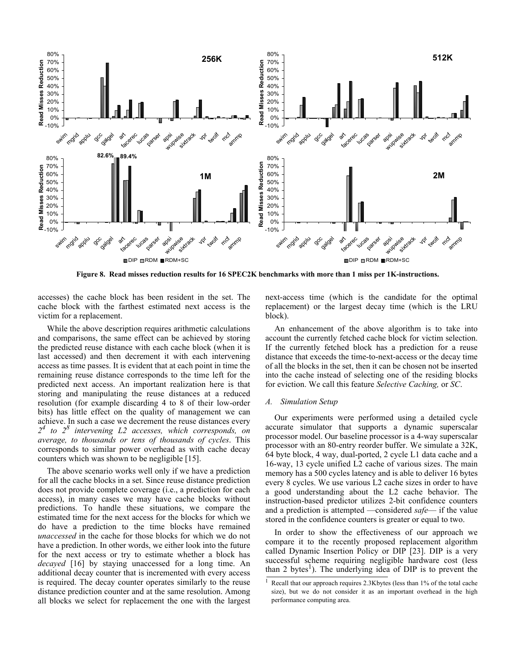

**Figure 8. Read misses reduction results for 16 SPEC2K benchmarks with more than 1 miss per 1K-instructions.**

accesses) the cache block has been resident in the set. The cache block with the farthest estimated next access is the victim for a replacement.

While the above description requires arithmetic calculations and comparisons, the same effect can be achieved by storing the predicted reuse distance with each cache block (when it is last accessed) and then decrement it with each intervening access as time passes. It is evident that at each point in time the remaining reuse distance corresponds to the time left for the predicted next access. An important realization here is that storing and manipulating the reuse distances at a reduced resolution (for example discarding 4 to 8 of their low-order bits) has little effect on the quality of management we can achieve. In such a case we decrement the reuse distances every *24 to 28 intervening L2 accesses, which corresponds, on average, to thousands or tens of thousands of cycles*. This corresponds to similar power overhead as with cache decay counters which was shown to be negligible [15].

The above scenario works well only if we have a prediction for all the cache blocks in a set. Since reuse distance prediction does not provide complete coverage (i.e., a prediction for each access), in many cases we may have cache blocks without predictions. To handle these situations, we compare the estimated time for the next access for the blocks for which we do have a prediction to the time blocks have remained *unaccessed* in the cache for those blocks for which we do not have a prediction. In other words, we either look into the future for the next access or try to estimate whether a block has *decayed* [16] by staying unaccessed for a long time. An additional decay counter that is incremented with every access is required. The decay counter operates similarly to the reuse distance prediction counter and at the same resolution. Among all blocks we select for replacement the one with the largest next-access time (which is the candidate for the optimal replacement) or the largest decay time (which is the LRU block).

An enhancement of the above algorithm is to take into account the currently fetched cache block for victim selection. If the currently fetched block has a prediction for a reuse distance that exceeds the time-to-next-access or the decay time of all the blocks in the set, then it can be chosen not be inserted into the cache instead of selecting one of the residing blocks for eviction. We call this feature *Selective Caching,* or *SC*.

## *A. Simulation Setup*

Our experiments were performed using a detailed cycle accurate simulator that supports a dynamic superscalar processor model. Our baseline processor is a 4-way superscalar processor with an 80-entry reorder buffer. We simulate a 32K, 64 byte block, 4 way, dual-ported, 2 cycle L1 data cache and a 16-way, 13 cycle unified L2 cache of various sizes. The main memory has a 500 cycles latency and is able to deliver 16 bytes every 8 cycles. We use various L2 cache sizes in order to have a good understanding about the L2 cache behavior. The instruction-based predictor utilizes 2-bit confidence counters and a prediction is attempted —considered *safe*— if the value stored in the confidence counters is greater or equal to two.

In order to show the effectiveness of our approach we compare it to the recently proposed replacement algorithm called Dynamic Insertion Policy or DIP [23]. DIP is a very successful scheme requiring negligible hardware cost (less than 2 bytes<sup>1</sup>). The underlying idea of DIP is to prevent the

Recall that our approach requires 2.3Kbytes (less than 1% of the total cache size), but we do not consider it as an important overhead in the high performance computing area.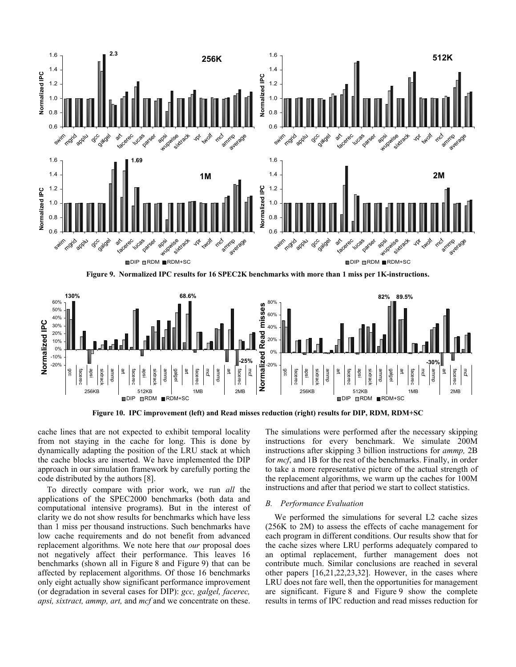

**Figure 9. Normalized IPC results for 16 SPEC2K benchmarks with more than 1 miss per 1K-instructions.**



**Figure 10. IPC improvement (left) and Read misses reduction (right) results for DIP, RDM, RDM+SC**

cache lines that are not expected to exhibit temporal locality from not staying in the cache for long. This is done by dynamically adapting the position of the LRU stack at which the cache blocks are inserted. We have implemented the DIP approach in our simulation framework by carefully porting the code distributed by the authors [8].

To directly compare with prior work, we run *all* the applications of the SPEC2000 benchmarks (both data and computational intensive programs). But in the interest of clarity we do not show results for benchmarks which have less than 1 miss per thousand instructions. Such benchmarks have low cache requirements and do not benefit from advanced replacement algorithms. We note here that *our* proposal does not negatively affect their performance. This leaves 16 benchmarks (shown all in Figure 8 and Figure 9) that can be affected by replacement algorithms. Of those 16 benchmarks only eight actually show significant performance improvement (or degradation in several cases for DIP): *gcc, galgel, facerec, apsi, sixtract, ammp, art,* and *mcf* and we concentrate on these.

The simulations were performed after the necessary skipping instructions for every benchmark. We simulate 200M instructions after skipping 3 billion instructions for *ammp,* 2B for *mcf*, and 1B for the rest of the benchmarks. Finally, in order to take a more representative picture of the actual strength of the replacement algorithms, we warm up the caches for 100M instructions and after that period we start to collect statistics.

## *B. Performance Evaluation*

We performed the simulations for several L2 cache sizes (256K to 2M) to assess the effects of cache management for each program in different conditions. Our results show that for the cache sizes where LRU performs adequately compared to an optimal replacement, further management does not contribute much. Similar conclusions are reached in several other papers [16,21,22,23,32]. However, in the cases where LRU does not fare well, then the opportunities for management are significant. Figure 8 and Figure 9 show the complete results in terms of IPC reduction and read misses reduction for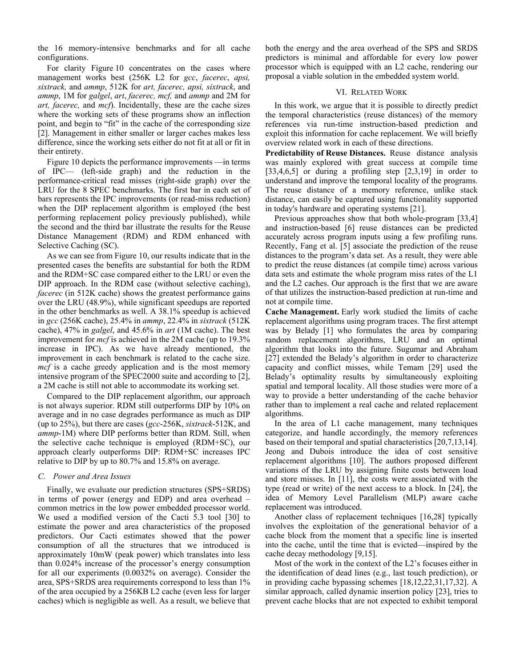the 16 memory-intensive benchmarks and for all cache configurations.

For clarity Figure 10 concentrates on the cases where management works best (256K L2 for *gcc*, *facerec*, *apsi, sixtrack,* and *ammp*, 512K for *art, facerec, apsi, sixtrack*, and *ammp*, 1M for *galgel*, *art*, *facerec, mcf,* and *ammp* and 2M for *art, facerec,* and *mcf*). Incidentally, these are the cache sizes where the working sets of these programs show an inflection point, and begin to "fit" in the cache of the corresponding size [2]. Management in either smaller or larger caches makes less difference, since the working sets either do not fit at all or fit in their entirety.

Figure 10 depicts the performance improvements —in terms of IPC— (left-side graph) and the reduction in the performance-critical read misses (right-side graph) over the LRU for the 8 SPEC benchmarks. The first bar in each set of bars represents the IPC improvements (or read-miss reduction) when the DIP replacement algorithm is employed (the best performing replacement policy previously published), while the second and the third bar illustrate the results for the Reuse Distance Management (RDM) and RDM enhanced with Selective Caching (SC).

As we can see from Figure 10, our results indicate that in the presented cases the benefits are substantial for both the RDM and the RDM+SC case compared either to the LRU or even the DIP approach. In the RDM case (without selective caching), *facerec* (in 512K cache) shows the greatest performance gains over the LRU (48.9%), while significant speedups are reported in the other benchmarks as well. A 38.1% speedup is achieved in *gcc* (256K cache), 25.4% in *ammp*, 22.4% in *sixtrack* (512K cache), 47% in *galgel*, and 45.6% in *art* (1M cache). The best improvement for *mcf* is achieved in the 2M cache (up to 19.3% increase in IPC). As we have already mentioned, the improvement in each benchmark is related to the cache size. *mcf* is a cache greedy application and is the most memory intensive program of the SPEC2000 suite and according to [2], a 2M cache is still not able to accommodate its working set.

Compared to the DIP replacement algorithm, our approach is not always superior. RDM still outperforms DIP by 10% on average and in no case degrades performance as much as DIP (up to 25%), but there are cases (*gcc*-256K, *sixtrack*-512K, and *ammp*-1M) where DIP performs better than RDM. Still, when the selective cache technique is employed (RDM+SC), our approach clearly outperforms DIP: RDM+SC increases IPC relative to DIP by up to 80.7% and 15.8% on average.

#### *C. Power and Area Issues*

Finally, we evaluate our prediction structures (SPS+SRDS) in terms of power (energy and EDP) and area overhead – common metrics in the low power embedded processor world. We used a modified version of the Cacti 5.3 tool [30] to estimate the power and area characteristics of the proposed predictors. Our Cacti estimates showed that the power consumption of all the structures that we introduced is approximately 10mW (peak power) which translates into less than 0.024% increase of the processor's energy consumption for all our experiments (0.0032% on average). Consider the area, SPS+SRDS area requirements correspond to less than 1% of the area occupied by a 256KB L2 cache (even less for larger caches) which is negligible as well. As a result, we believe that

both the energy and the area overhead of the SPS and SRDS predictors is minimal and affordable for every low power processor which is equipped with an L2 cache, rendering our proposal a viable solution in the embedded system world.

## VI. RELATED WORK

In this work, we argue that it is possible to directly predict the temporal characteristics (reuse distances) of the memory references via run-time instruction-based prediction and exploit this information for cache replacement. We will briefly overview related work in each of these directions.

**Predictability of Reuse Distances.** Reuse distance analysis was mainly explored with great success at compile time  $[33,4,6,5]$  or during a profiling step  $[2,3,19]$  in order to understand and improve the temporal locality of the programs. The reuse distance of a memory reference, unlike stack distance, can easily be captured using functionality supported in today's hardware and operating systems [21].

Previous approaches show that both whole-program [33,4] and instruction-based [6] reuse distances can be predicted accurately across program inputs using a few profiling runs. Recently, Fang et al. [5] associate the prediction of the reuse distances to the program's data set. As a result, they were able to predict the reuse distances (at compile time) across various data sets and estimate the whole program miss rates of the L1 and the L2 caches. Our approach is the first that we are aware of that utilizes the instruction-based prediction at run-time and not at compile time.

**Cache Management.** Early work studied the limits of cache replacement algorithms using program traces. The first attempt was by Belady [1] who formulates the area by comparing random replacement algorithms, LRU and an optimal algorithm that looks into the future. Sugumar and Abraham [27] extended the Belady's algorithm in order to characterize capacity and conflict misses, while Temam [29] used the Belady's optimality results by simultaneously exploiting spatial and temporal locality. All those studies were more of a way to provide a better understanding of the cache behavior rather than to implement a real cache and related replacement algorithms.

In the area of L1 cache management, many techniques categorize, and handle accordingly, the memory references based on their temporal and spatial characteristics [20,7,13,14]. Jeong and Dubois introduce the idea of cost sensitive replacement algorithms [10]. The authors proposed different variations of the LRU by assigning finite costs between load and store misses. In [11], the costs were associated with the type (read or write) of the next access to a block. In [24], the idea of Memory Level Parallelism (MLP) aware cache replacement was introduced.

Another class of replacement techniques [16,28] typically involves the exploitation of the generational behavior of a cache block from the moment that a specific line is inserted into the cache, until the time that is evicted—inspired by the cache decay methodology [9,15].

Most of the work in the context of the L2's focuses either in the identification of dead lines (e.g., last touch prediction), or in providing cache bypassing schemes [18,12,22,31,17,32]. A similar approach, called dynamic insertion policy [23], tries to prevent cache blocks that are not expected to exhibit temporal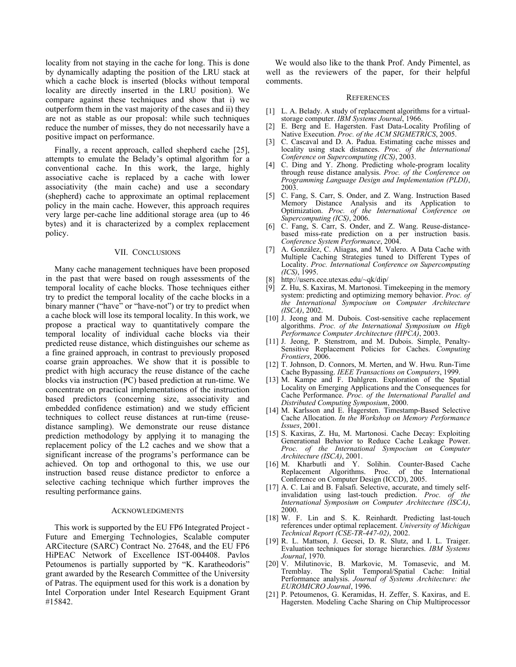locality from not staying in the cache for long. This is done by dynamically adapting the position of the LRU stack at which a cache block is inserted (blocks without temporal locality are directly inserted in the LRU position). We compare against these techniques and show that i) we outperform them in the vast majority of the cases and ii) they are not as stable as our proposal: while such techniques reduce the number of misses, they do not necessarily have a positive impact on performance.

Finally, a recent approach, called shepherd cache [25], attempts to emulate the Belady's optimal algorithm for a conventional cache. In this work, the large, highly associative cache is replaced by a cache with lower associativity (the main cache) and use a secondary (shepherd) cache to approximate an optimal replacement policy in the main cache. However, this approach requires very large per-cache line additional storage area (up to 46 bytes) and it is characterized by a complex replacement policy.

#### VII. CONCLUSIONS

Many cache management techniques have been proposed in the past that were based on rough assessments of the temporal locality of cache blocks. Those techniques either try to predict the temporal locality of the cache blocks in a binary manner ("have" or "have-not") or try to predict when a cache block will lose its temporal locality. In this work, we propose a practical way to quantitatively compare the temporal locality of individual cache blocks via their predicted reuse distance, which distinguishes our scheme as a fine grained approach, in contrast to previously proposed coarse grain approaches. We show that it is possible to predict with high accuracy the reuse distance of the cache blocks via instruction (PC) based prediction at run-time. We concentrate on practical implementations of the instruction based predictors (concerning size, associativity and embedded confidence estimation) and we study efficient techniques to collect reuse distances at run-time (reusedistance sampling). We demonstrate our reuse distance prediction methodology by applying it to managing the replacement policy of the L2 caches and we show that a significant increase of the programs's performance can be achieved. On top and orthogonal to this, we use our instruction based reuse distance predictor to enforce a selective caching technique which further improves the resulting performance gains.

#### ACKNOWLEDGMENTS

This work is supported by the EU FP6 Integrated Project - Future and Emerging Technologies, Scalable computer ARCitecture (SARC) Contract No. 27648, and the EU FP6 HiPEAC Network of Excellence IST-004408. Pavlos Petoumenos is partially supported by "K. Karatheodoris" grant awarded by the Research Committee of the University of Patras. The equipment used for this work is a donation by Intel Corporation under Intel Research Equipment Grant #15842.

We would also like to the thank Prof. Andy Pimentel, as well as the reviewers of the paper, for their helpful comments.

#### **REFERENCES**

- [1] L. A. Belady. A study of replacement algorithms for a virtualstorage computer. *IBM Systems Journal*, 1966.
- E. Berg and E. Hagersten. Fast Data-Locality Profiling of Native Execution. *Proc. of the ACM SIGMETRICS*, 2005.
- [3] C. Cascaval and D. A. Padua. Estimating cache misses and locality using stack distances. *Proc. of the International Conference on Supercomputing (ICS)*, 2003.
- [4] C. Ding and Y. Zhong. Predicting whole-program locality through reuse distance analysis. *Proc. of the Conference on Programming Language Design and Implementation (PLDI)*, 2003.
- [5] C. Fang, S. Carr, S. Onder, and Z. Wang. Instruction Based Memory Distance Analysis and its Application to Optimization. *Proc. of the International Conference on Supercomputing (ICS)*, 2006.
- [6] C. Fang, S. Carr, S. Onder, and Z. Wang. Reuse-distancebased miss-rate prediction on a per instruction basis. *Conference System Performance*, 2004.
- [7] A. González, C. Aliagas, and M. Valero. A Data Cache with Multiple Caching Strategies tuned to Different Types of Locality. *Proc. International Conference on Supercomputing (ICS)*, 1995.
- [8] http://users.ece.utexas.edu/~qk/dip/
- [9] Z. Hu, S. Kaxiras, M. Martonosi. Timekeeping in the memory system: predicting and optimizing memory behavior. *Proc. of the International Sympocium on Computer Architecture (ISCA)*, 2002.
- [10] J. Jeong and M. Dubois. Cost-sensitive cache replacement algorithms. *Proc. of the International Symposium on High Performance Computer Architecture (HPCA)*, 2003.
- [11] J. Jeong, P. Stenstrom, and M. Dubois. Simple, Penalty-Sensitive Replacement Policies for Caches. *Computing Frontiers*, 2006.
- [12] T. Johnson, D. Connors, M. Merten, and W. Hwu. Run-Time Cache Bypassing. *IEEE Transactions on Computers*, 1999.
- [13] M. Kampe and F. Dahlgren. Exploration of the Spatial Locality on Emerging Applications and the Consequences for Cache Performance. *Proc. of the International Parallel and Distributed Computing Symposium*, 2000.
- [14] M. Karlsson and E. Hagersten. Timestamp-Based Selective Cache Allocation. *In the Workshop on Memory Performance Issues*, 2001.
- [15] S. Kaxiras, Z. Hu, M. Martonosi. Cache Decay: Exploiting Generational Behavior to Reduce Cache Leakage Power. *Proc. of the International Sympocium on Computer Architecture (ISCA)*, 2001.
- [16] M. Kharbutli and Y. Solihin. Counter-Based Cache Replacement Algorithms. Proc. Conference on Computer Design (ICCD), 2005.
- [17] A. C. Lai and B. Falsafi. Selective, accurate, and timely selfinvalidation using last-touch prediction. *Proc. of the International Symposium on Computer Architecture (ISCA)*, 2000.
- [18] W. F. Lin and S. K. Reinhardt. Predicting last-touch references under optimal replacement. *University of Michigan Technical Report (CSE-TR-447-02)*, 2002.
- [19] R. L. Mattson, J. Gecsei, D. R. Slutz, and I. L. Traiger. Evaluation techniques for storage hierarchies. *IBM Systems Journal*, 1970.
- [20] V. Milutinovic, B. Markovic, M. Tomasevic, and M. Tremblay. The Split Temporal/Spatial Cache: Initial Performance analysis. *Journal of Systems Architecture: the EUROMICRO Journal*, 1996.
- [21] P. Petoumenos, G. Keramidas, H. Zeffer, S. Kaxiras, and E. Hagersten. Modeling Cache Sharing on Chip Multiprocessor